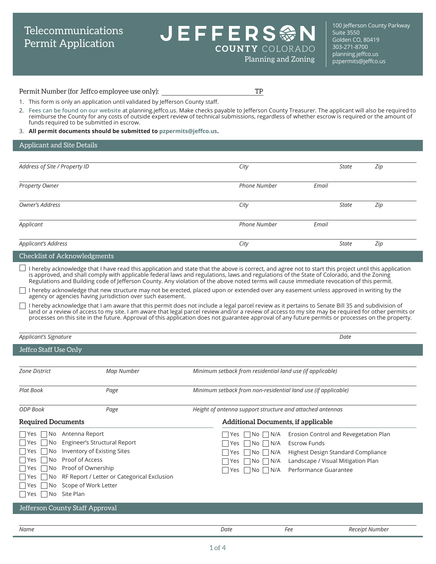# Telecommunications Permit Application

# JEFFERS參 **COUNTY** COLORADO

100 Jefferson County Parkway Suite 3550 Golden CO, 80419 303-271-8700 [planning.jeffco.us](http://planning.jeffco.us)  $Planning and Zoning$  [pzpermits@jeffco.us](mailto:pzpermits%40jeffco.us?subject=)

#### Permit Number (for Jeffco employee use only): TP

- 1. This form is only an application until validated by Jefferson County staff.
- 2. **[Fees can be found on our website](https://www.jeffco.us/2920)** at [planning.jeffco.us](http://planning.jeffco.us). Make checks payable to Jefferson County Treasurer. The applicant will also be required to reimburse the County for any costs of outside expert review of technical submissions, regardless of whether escrow is required or the amount of funds required to be submitted in escrow.
- 3. **All permit documents should be submitted to [pzpermits@jeffco.us](mailto:pzpermits%40jeffco.us?subject=).**

#### Applicant and Site Details

| Address of Site / Property ID       | City                |       | <b>State</b> | Zip |
|-------------------------------------|---------------------|-------|--------------|-----|
| Property Owner                      | <b>Phone Number</b> | Email |              |     |
| Owner's Address                     | City                |       | <b>State</b> | Zip |
| Applicant                           | <b>Phone Number</b> | Email |              |     |
| Applicant's Address                 | City                |       | <b>State</b> | Zip |
| <b>Checklist of Acknowledgments</b> |                     |       |              |     |

I hereby acknowledge that I have read this application and state that the above is correct, and agree not to start this project until this application is approved, and shall comply with applicable federal laws and regulations, laws and regulations of the State of Colorado, and the Zoning Regulations and Building code of Jefferson County. Any violation of the above noted terms will cause immediate revocation of this permit.

I hereby acknowledge that new structure may not be erected, placed upon or extended over any easement unless approved in writing by the agency or agencies having jurisdiction over such easement.

I hereby acknowledge that I am aware that this permit does not include a legal parcel review as it pertains to Senate Bill 35 and subdivision of land or a review of access to my site. I am aware that legal parcel review and/or a review of access to my site may be required for other permits or processes on this site in the future. Approval of this application does not guarantee approval of any future permits or processes on the property.

| Applicant's Signature<br>Date                                                                                                                                                                                                                                                                                                                                                 |                                                                                                                                                                                                                                                                             |  |
|-------------------------------------------------------------------------------------------------------------------------------------------------------------------------------------------------------------------------------------------------------------------------------------------------------------------------------------------------------------------------------|-----------------------------------------------------------------------------------------------------------------------------------------------------------------------------------------------------------------------------------------------------------------------------|--|
| Jeffco Staff Use Only                                                                                                                                                                                                                                                                                                                                                         |                                                                                                                                                                                                                                                                             |  |
| <b>Zone District</b><br>Map Number                                                                                                                                                                                                                                                                                                                                            | Minimum setback from residential land use (if applicable)                                                                                                                                                                                                                   |  |
| <b>Plat Book</b><br>Page                                                                                                                                                                                                                                                                                                                                                      | Minimum setback from non-residential land use (if applicable)                                                                                                                                                                                                               |  |
| ODP Book<br>Page                                                                                                                                                                                                                                                                                                                                                              | Height of antenna support structure and attached antennas                                                                                                                                                                                                                   |  |
| <b>Required Documents</b>                                                                                                                                                                                                                                                                                                                                                     | <b>Additional Documents, if applicable</b>                                                                                                                                                                                                                                  |  |
| Antenna Report<br>l Yes<br>l No<br>Engineer's Structural Report<br>No.<br>l lYes<br>Inventory of Existing Sites<br>l lYes<br>No.<br>Proof of Access<br>l lYes<br>No.<br>Proof of Ownership<br>l lYes<br>No.<br>RF Report / Letter or Categorical Exclusion<br>  Yes<br>No<br>No Scope of Work Letter<br>l lYes<br>Site Plan<br>  Yes<br>No<br>Jefferson County Staff Approval | Erosion Control and Revegetation Plan<br>No N/A<br>Yes<br><b>Escrow Funds</b><br>N/A<br>No.<br>Yes.<br>Highest Design Standard Compliance<br>N/A<br>Yes.<br>No.<br>Landscape / Visual Mitigation Plan<br>N/A<br>l No-<br>Yes<br>Performance Guarantee<br>N/A<br>  No<br>Yes |  |
|                                                                                                                                                                                                                                                                                                                                                                               |                                                                                                                                                                                                                                                                             |  |
| Name                                                                                                                                                                                                                                                                                                                                                                          | Date<br>Fee<br>Receipt Number                                                                                                                                                                                                                                               |  |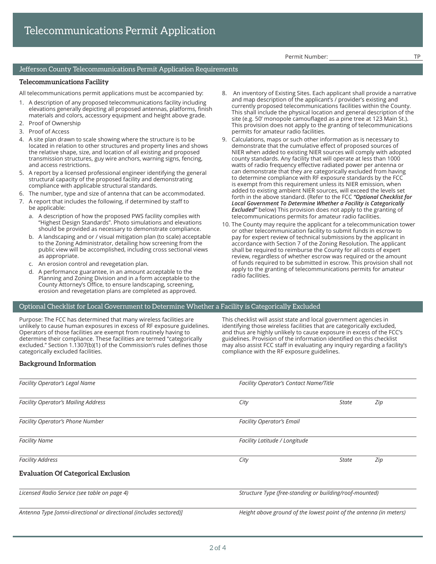Permit Number:

#### Jefferson County Telecommunications Permit Application Requirements

#### **Telecommunications Facility**

All telecommunications permit applications must be accompanied by:

- 1. A description of any proposed telecommunications facility including elevations generally depicting all proposed antennas, platforms, finish materials and colors, accessory equipment and height above grade.
- 2. Proof of Ownership
- 3. Proof of Access
- 4. A site plan drawn to scale showing where the structure is to be located in relation to other structures and property lines and shows the relative shape, size, and location of all existing and proposed transmission structures, guy wire anchors, warning signs, fencing, and access restrictions.
- 5. A report by a licensed professional engineer identifying the general structural capacity of the proposed facility and demonstrating compliance with applicable structural standards.
- 6. The number, type and size of antenna that can be accommodated.
- 7. A report that includes the following, if determined by staff to be applicable:
	- a. A description of how the proposed PWS facility complies with "Highest Design Standards". Photo simulations and elevations should be provided as necessary to demonstrate compliance.
	- b. A landscaping and or / visual mitigation plan (to scale) acceptable to the Zoning Administrator, detailing how screening from the public view will be accomplished, including cross sectional views as appropriate.
	- c. An erosion control and revegetation plan.
	- d. A performance guarantee, in an amount acceptable to the Planning and Zoning Division and in a form acceptable to the County Attorney's Office, to ensure landscaping, screening, erosion and revegetation plans are completed as approved.
- 8. An inventory of Existing Sites. Each applicant shall provide a narrative and map description of the applicant's / provider's existing and currently proposed telecommunications facilities within the County. This shall include the physical location and general description of the site (e.g. 50' monopole camouflaged as a pine tree at 123 Main St.). This provision does not apply to the granting of telecommunications permits for amateur radio facilities.
- 9. Calculations, maps or such other information as is necessary to demonstrate that the cumulative effect of proposed sources of NIER when added to existing NIER sources will comply with adopted county standards. Any facility that will operate at less than 1000 watts of radio frequency effective radiated power per antenna or can demonstrate that they are categorically excluded from having to determine compliance with RF exposure standards by the FCC is exempt from this requirement unless its NIER emission, when added to existing ambient NIER sources, will exceed the levels set forth in the above standard. (Refer to the FCC *"Optional Checklist for Local Government To Determine Whether a Facility is Categorically Excluded"* below) This provision does not apply to the granting of telecommunications permits for amateur radio facilities.
- 10. The County may require the applicant for a telecommunication tower or other telecommunication facility to submit funds in escrow to pay for expert review of technical submissions by the applicant in accordance with Section 7 of the Zoning Resolution. The applicant shall be required to reimburse the County for all costs of expert review, regardless of whether escrow was required or the amount of funds required to be submitted in escrow. This provision shall not apply to the granting of telecommunications permits for amateur radio facilities.

#### Optional Checklist for Local Government to Determine Whether a Facility is Categorically Excluded

Purpose: The FCC has determined that many wireless facilities are unlikely to cause human exposures in excess of RF exposure guidelines. Operators of those facilities are exempt from routinely having to determine their compliance. These facilities are termed "categorically excluded." Section 1.1307(b)(1) of the Commission's rules defines those categorically excluded facilities.

This checklist will assist state and local government agencies in identifying those wireless facilities that are categorically excluded, and thus are highly unlikely to cause exposure in excess of the FCC's guidelines. Provision of the information identified on this checklist may also assist FCC staff in evaluating any inquiry regarding a facility's compliance with the RF exposure guidelines.

### **Background Information**

| Facility Operator's Legal Name                                     |                                                                    | <b>Facility Operator's Contact Name/Title</b> |     |  |
|--------------------------------------------------------------------|--------------------------------------------------------------------|-----------------------------------------------|-----|--|
| <b>Facility Operator's Mailing Address</b>                         | City                                                               | State                                         | Zip |  |
| <b>Facility Operator's Phone Number</b>                            | <b>Facility Operator's Email</b>                                   |                                               |     |  |
| <b>Facility Name</b>                                               | Facility Latitude / Longitude                                      |                                               |     |  |
| <b>Facility Address</b>                                            | City                                                               | State                                         | Zip |  |
| <b>Evaluation Of Categorical Exclusion</b>                         |                                                                    |                                               |     |  |
| Licensed Radio Service (see table on page 4)                       | Structure Type (free-standing or building/roof-mounted)            |                                               |     |  |
| Antenna Type [omni-directional or directional (includes sectored)] | Height above ground of the lowest point of the antenna (in meters) |                                               |     |  |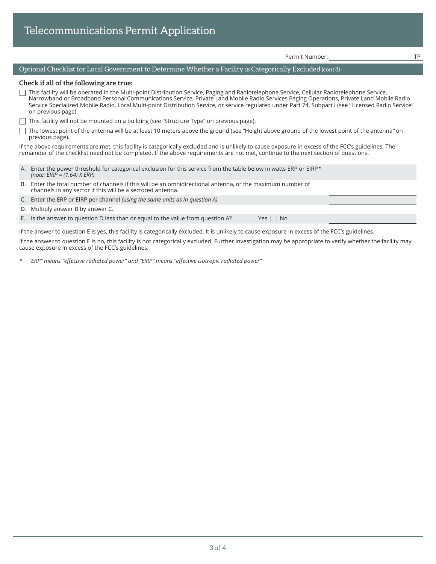|  |  | Telecommunications Permit Application |
|--|--|---------------------------------------|
|  |  |                                       |

Permit Number: TP

## Optional Checklist for Local Government to Determine Whether a Facility is Categorically Excluded (cont'd)

#### **Check if all of the following are true:**

 $\Box$  This facility will be operated in the Multi-point Distribution Service, Paging and Radiotelephone Service, Cellular Radiotelephone Service, Narrowband or Broadband Personal Communications Service, Private Land Mobile Radio Services Paging Operations, Private Land Mobile Radio Service Specialized Mobile Radio, Local Multi-point Distribution Service, or service regulated under Part 74, Subpart I (see "Licensed Radio Service" on previous page).

This facility will not be mounted on a building (see "Structure Type" on previous page).

The lowest point of the antenna will be at least 10 meters above the ground (see "Height above ground of the lowest point of the antenna*"* on previous page).

If the above requirements are met, this facility is categorically excluded and is unlikely to cause exposure in excess of the FCC's guidelines. The remainder of the checklist need not be completed. If the above requirements are not met, continue to the next section of questions.

- A. Enter the power threshold for categorical exclusion for this service from the table below in watts ERP or EIRP*\* (note: EIRP = (1.64) X ERP)*
- B. Enter the total number of channels if this will be an omnidirectional antenna, or the maximum number of channels in any sector if this will be a sectored antenna.
- C. Enter the ERP or EIRP per channel *(using the same units as in question A)*
- D. Multiply answer B by answer C.

E. Is the answer to question D less than or equal to the value from question A?  $\Box$  Yes  $\Box$  No

If the answer to question E is yes, this facility is categorically excluded. It is unlikely to cause exposure in excess of the FCC's guidelines.

If the answer to question E is no, this facility is not categorically excluded. Further investigation may be appropriate to verify whether the facility may cause exposure in excess of the FCC's guidelines.

*\* "ERP" means "effective radiated power" and "EIRP" means "effective isotropic radiated power"*